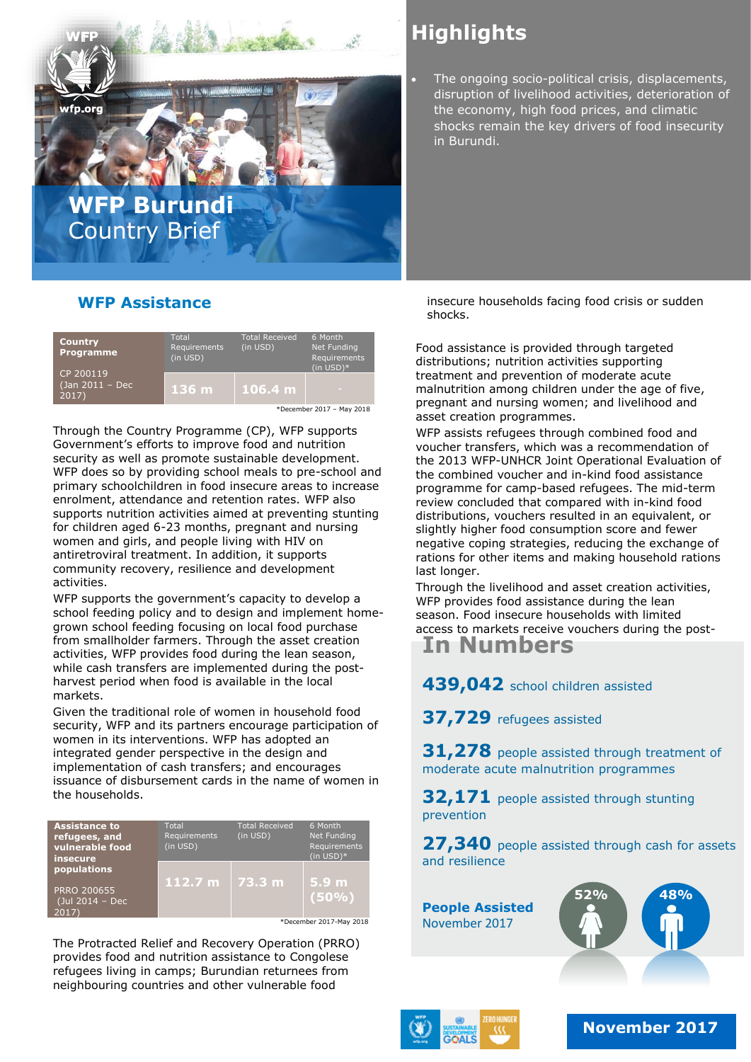

# **Highlights**

 The ongoing socio-political crisis, displacements, disruption of livelihood activities, deterioration of the economy, high food prices, and climatic shocks remain the key drivers of food insecurity in Burundi.

### **WFP Assistance**

| <b>Country</b><br><b>Programme</b><br>CP 200119<br>(Jan 2011 - Dec<br>2017) | Total<br>Requirements<br>(in USD) | <b>Total Received</b><br>(in USD) | 6 Month<br>Net Funding<br>Requirements<br>$(in USD)*$ |
|-----------------------------------------------------------------------------|-----------------------------------|-----------------------------------|-------------------------------------------------------|
|                                                                             | 136 <sub>m</sub>                  | 106.4 m                           |                                                       |
| *December 2017 - May 2018                                                   |                                   |                                   |                                                       |

Through the Country Programme (CP), WFP supports Government's efforts to improve food and nutrition security as well as promote sustainable development. WFP does so by providing school meals to pre-school and primary schoolchildren in food insecure areas to increase enrolment, attendance and retention rates. WFP also supports nutrition activities aimed at preventing stunting for children aged 6-23 months, pregnant and nursing women and girls, and people living with HIV on antiretroviral treatment. In addition, it supports community recovery, resilience and development activities.

WFP supports the government's capacity to develop a school feeding policy and to design and implement homegrown school feeding focusing on local food purchase from smallholder farmers. Through the asset creation activities, WFP provides food during the lean season, while cash transfers are implemented during the postharvest period when food is available in the local markets.

Given the traditional role of women in household food security, WFP and its partners encourage participation of women in its interventions. WFP has adopted an integrated gender perspective in the design and implementation of cash transfers; and encourages issuance of disbursement cards in the name of women in the households.

| <b>Assistance to</b><br>refugees, and<br>vulnerable food<br><i>insecure</i> | Total<br>Requirements<br>(in USD) | Total Received<br>(in USD) | 6 Month<br>Net Funding<br>Requirements<br>$(in USD)*$ |
|-----------------------------------------------------------------------------|-----------------------------------|----------------------------|-------------------------------------------------------|
| populations<br><b>PRRO 200655</b><br>(Jul 2014 - Dec<br>2017                | 112.7 m $\sqrt{73.3}$ m           |                            | 5.9 <sub>m</sub><br>(50%)                             |

\*December 2017-May 2018

The Protracted Relief and Recovery Operation (PRRO) provides food and nutrition assistance to Congolese refugees living in camps; Burundian returnees from neighbouring countries and other vulnerable food

insecure households facing food crisis or sudden shocks.

Food assistance is provided through targeted distributions; nutrition activities supporting treatment and prevention of moderate acute malnutrition among children under the age of five, pregnant and nursing women; and livelihood and asset creation programmes.

WFP assists refugees through combined food and voucher transfers, which was a recommendation of the 2013 WFP-UNHCR Joint Operational Evaluation of the combined voucher and in-kind food assistance programme for camp-based refugees. The mid-term review concluded that compared with in-kind food distributions, vouchers resulted in an equivalent, or slightly higher food consumption score and fewer negative coping strategies, reducing the exchange of rations for other items and making household rations last longer.

Through the livelihood and asset creation activities, WFP provides food assistance during the lean season. Food insecure households with limited access to markets receive vouchers during the post-

**In Numbers** 

### **439,042** school children assisted

**37,729** refugees assisted

**31,278** people assisted through treatment of moderate acute malnutrition programmes

**32,171** people assisted through stunting prevention

27,340 people assisted through cash for assets and resilience

**People Assisted** November 2017